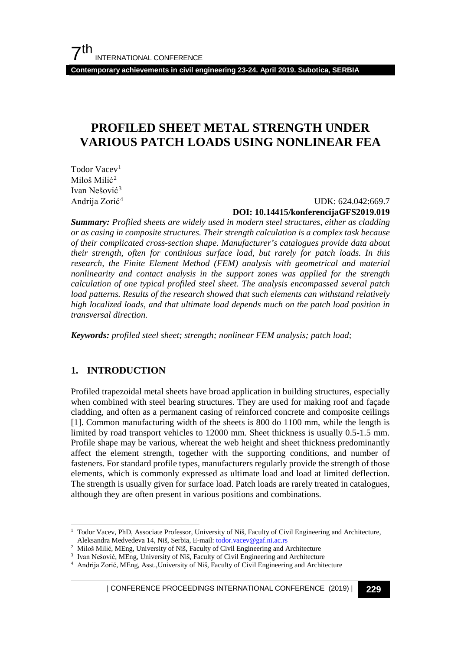**Contemporary achievements in civil engineering 23-24. April 2019. Subotica, SERBIA**

# **PROFILED SHEET METAL STRENGTH UNDER VARIOUS PATCH LOADS USING NONLINEAR FEA**

Todor Vacev<sup>1</sup> Miloš Milić<sup>[2](#page-0-1)</sup> Ivan Nešović[3](#page-0-2) Andrija Zorić[4](#page-0-3)

## UDK: 624.042:669.7 **DOI: 10.14415/konferencijaGFS2019.019**

*Summary: Profiled sheets are widely used in modern steel structures, either as cladding or as casing in composite structures. Their strength calculation is a complex task because of their complicated cross-section shape. Manufacturer's catalogues provide data about their strength, often for continious surface load, but rarely for patch loads. In this research, the Finite Element Method (FEM) analysis with geometrical and material nonlinearity and contact analysis in the support zones was applied for the strength calculation of one typical profiled steel sheet. The analysis encompassed several patch*  load patterns. Results of the research showed that such elements can withstand relatively *high localized loads, and that ultimate load depends much on the patch load position in transversal direction.*

*Keywords: profiled steel sheet; strength; nonlinear FEM analysis; patch load;*

## **1. INTRODUCTION**

Profiled trapezoidal metal sheets have broad application in building structures, especially when combined with steel bearing structures. They are used for making roof and façade cladding, and often as a permanent casing of reinforced concrete and composite ceilings [1]. Common manufacturing width of the sheets is 800 do 1100 mm, while the length is limited by road transport vehicles to 12000 mm. Sheet thickness is usually 0.5-1.5 mm. Profile shape may be various, whereat the web height and sheet thickness predominantly affect the element strength, together with the supporting conditions, and number of fasteners. For standard profile types, manufacturers regularly provide the strength of those elements, which is commonly expressed as ultimate load and load at limited deflection. The strength is usually given for surface load. Patch loads are rarely treated in catalogues, although they are often present in various positions and combinations.

<span id="page-0-0"></span><sup>1</sup> Todor Vacev, PhD, Associate Professor, University of Niš, Faculty of Civil Engineering and Architecture, Aleksandra Medvedeva 14, Niš, Serbia, E-mail: [todor.vacev@gaf.ni.ac.rs](mailto:todor.vacev@gaf.ni.ac.rs)

<span id="page-0-1"></span><sup>&</sup>lt;sup>2</sup> Miloš Milić, MEng, University of Niš, Faculty of Civil Engineering and Architecture<sup>3</sup> Ivan Nešović, MEng, University of Niš, Faculty of Civil Engineering and Architecture

<span id="page-0-2"></span>

<span id="page-0-3"></span><sup>&</sup>lt;sup>4</sup> Andrija Zorić, MEng, Asst., University of Niš, Faculty of Civil Engineering and Architecture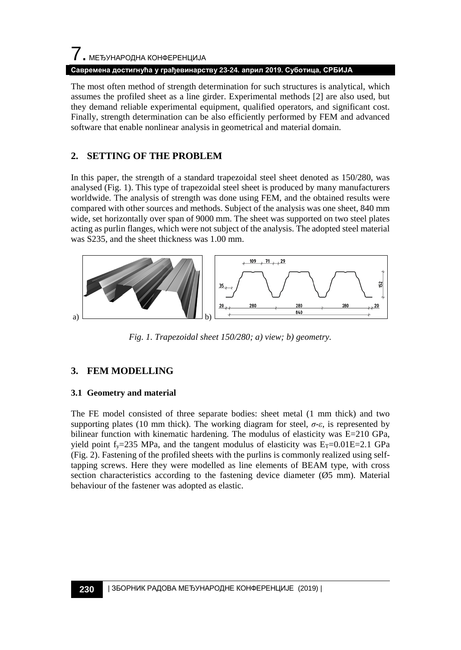# 7. МЕЂУНАРОДНА КОНФЕРЕНЦИЈА

#### **Савремена достигнућа у грађевинарству 23-24. април 2019. Суботица, СРБИЈА**

The most often method of strength determination for such structures is analytical, which assumes the profiled sheet as a line girder. Experimental methods [2] are also used, but they demand reliable experimental equipment, qualified operators, and significant cost. Finally, strength determination can be also efficiently performed by FEM and advanced software that enable nonlinear analysis in geometrical and material domain.

## **2. SETTING OF THE PROBLEM**

In this paper, the strength of a standard trapezoidal steel sheet denoted as 150/280, was analysed (Fig. 1). This type of trapezoidal steel sheet is produced by many manufacturers worldwide. The analysis of strength was done using FEM, and the obtained results were compared with other sources and methods. Subject of the analysis was one sheet, 840 mm wide, set horizontally over span of 9000 mm. The sheet was supported on two steel plates acting as purlin flanges, which were not subject of the analysis. The adopted steel material was S235, and the sheet thickness was 1.00 mm.



*Fig. 1. Trapezoidal sheet 150/280; a) view; b) geometry.*

## **3. FEM MODELLING**

#### **3.1 Geometry and material**

The FE model consisted of three separate bodies: sheet metal (1 mm thick) and two supporting plates (10 mm thick). The working diagram for steel,  $\sigma$ -*ε*, is represented by bilinear function with kinematic hardening. The modulus of elasticity was E=210 GPa, yield point  $f_y=235$  MPa, and the tangent modulus of elasticity was  $E_T=0.01E=2.1$  GPa (Fig. 2). Fastening of the profiled sheets with the purlins is commonly realized using selftapping screws. Here they were modelled as line elements of BEAM type, with cross section characteristics according to the fastening device diameter (Ø5 mm). Material behaviour of the fastener was adopted as elastic.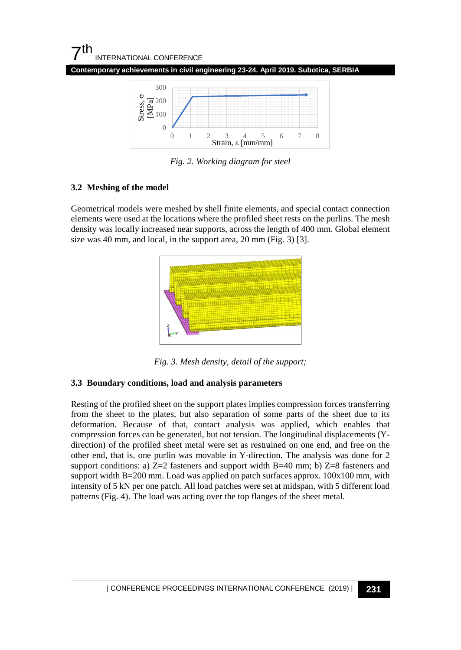## $7<sup>th</sup>$ INTERNATIONAL CONFERENCE

**Contemporary achievements in civil engineering 23-24. April 2019. Subotica, SERBIA**



*Fig. 2. Working diagram for steel*

## **3.2 Meshing of the model**

Geometrical models were meshed by shell finite elements, and special contact connection elements were used at the locations where the profiled sheet rests on the purlins. The mesh density was locally increased near supports, across the length of 400 mm. Global element size was 40 mm, and local, in the support area, 20 mm (Fig. 3) [3].



*Fig. 3. Mesh density, detail of the support;*

## **3.3 Boundary conditions, load and analysis parameters**

Resting of the profiled sheet on the support plates implies compression forces transferring from the sheet to the plates, but also separation of some parts of the sheet due to its deformation. Because of that, contact analysis was applied, which enables that compression forces can be generated, but not tension. The longitudinal displacements (Ydirection) of the profiled sheet metal were set as restrained on one end, and free on the other end, that is, one purlin was movable in Y-direction. The analysis was done for 2 support conditions: a)  $Z=2$  fasteners and support width B=40 mm; b)  $Z=8$  fasteners and support width B=200 mm. Load was applied on patch surfaces approx. 100x100 mm, with intensity of 5 kN per one patch. All load patches were set at midspan, with 5 different load patterns (Fig. 4). The load was acting over the top flanges of the sheet metal.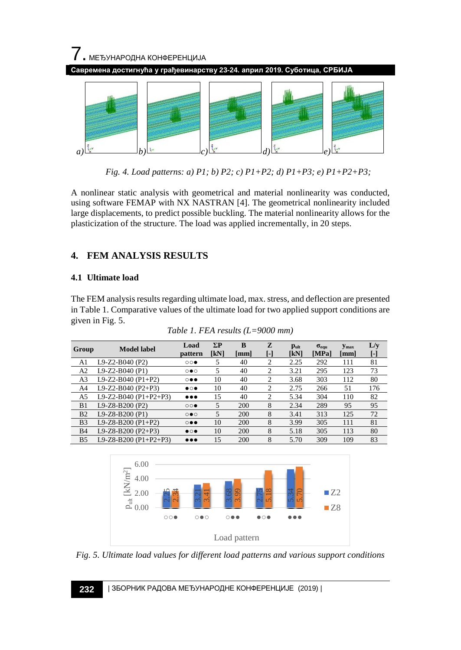

*Fig. 4. Load patterns: a) P1; b) P2; c) P1+P2; d) P1+P3; e) P1+P2+P3;*

A nonlinear static analysis with geometrical and material nonlinearity was conducted, using software FEMAP with NX NASTRAN [4]. The geometrical nonlinearity included large displacements, to predict possible buckling. The material nonlinearity allows for the plasticization of the structure. The load was applied incrementally, in 20 steps.

## **4. FEM ANALYSIS RESULTS**

## **4.1 Ultimate load**

The FEM analysis results regarding ultimate load, max. stress, and deflection are presented in Table 1. Comparative values of the ultimate load for two applied support conditions are given in Fig. 5.

| Group          | <b>Model label</b>    | Load<br>pattern         | $\Sigma$ P<br>[kN] | B<br>[mm] | z<br>H         | Pult<br>[kN] | $\sigma_{\text{e} \text{qu}}$<br>[MPa] | <b>Y</b> max<br>[mm] | L/y<br>[-] |
|----------------|-----------------------|-------------------------|--------------------|-----------|----------------|--------------|----------------------------------------|----------------------|------------|
| A1             | L9-Z2-B040 (P2)       | $\circ\circ\bullet$     | 5                  | 40        | $\overline{c}$ | 2.25         | 292                                    | 111                  | 81         |
| A2             | L9-Z2-B040 (P1)       | $\circ\bullet\circ$     | 5                  | 40        | $\mathfrak{D}$ | 3.21         | 295                                    | 123                  | 73         |
| A3             | L9-Z2-B040 (P1+P2)    | $\circ\bullet\bullet$   | 10                 | 40        | $\overline{c}$ | 3.68         | 303                                    | 112                  | 80         |
| A4             | L9-Z2-B040 (P2+P3)    | $\bullet\circ\bullet$   | 10                 | 40        | 2              | 2.75         | 266                                    | 51                   | 176        |
| A5             | L9-Z2-B040 (P1+P2+P3) | $\bullet\bullet\bullet$ | 15                 | 40        | $\mathfrak{D}$ | 5.34         | 304                                    | 110                  | 82         |
| B1             | L9-Z8-B200 (P2)       | $\circ\circ\bullet$     | 5                  | 200       | 8              | 2.34         | 289                                    | 95                   | 95         |
| B <sub>2</sub> | $L9-Z8-B200(P1)$      | $\circ \bullet \circ$   | 5                  | 200       | 8              | 3.41         | 313                                    | 125                  | 72         |
| B <sub>3</sub> | $L9-Z8-B200 (P1+P2)$  | $\circ\bullet\bullet$   | 10                 | 200       | 8              | 3.99         | 305                                    | 111                  | 81         |
| <b>B4</b>      | L9-Z8-B200 (P2+P3)    | $\bullet\circ\bullet$   | 10                 | 200       | 8              | 5.18         | 305                                    | 113                  | 80         |
| B <sub>5</sub> | L9-Z8-B200 (P1+P2+P3) | $\bullet\bullet\bullet$ | 15                 | 200       | 8              | 5.70         | 309                                    | 109                  | 83         |

*Table 1. FEA results (L=9000 mm)*



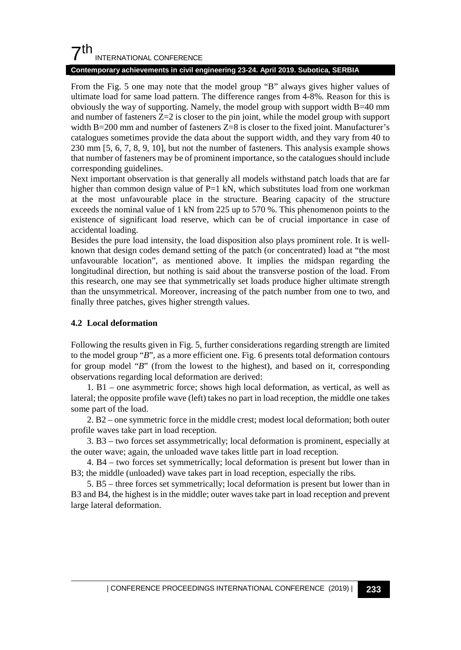## $7<sup>th</sup>$ INTERNATIONAL CONFERENCE

#### **Contemporary achievements in civil engineering 23-24. April 2019. Subotica, SERBIA**

From the Fig. 5 one may note that the model group "B" always gives higher values of ultimate load for same load pattern. The difference ranges from 4-8%. Reason for this is obviously the way of supporting. Namely, the model group with support width B=40 mm and number of fasteners  $Z=2$  is closer to the pin joint, while the model group with support width  $B=200$  mm and number of fasteners  $Z=8$  is closer to the fixed joint. Manufacturer's catalogues sometimes provide the data about the support width, and they vary from 40 to 230 mm [5, 6, 7, 8, 9, 10], but not the number of fasteners. This analysis example shows that number of fasteners may be of prominent importance, so the catalogues should include corresponding guidelines.

Next important observation is that generally all models withstand patch loads that are far higher than common design value of P=1 kN, which substitutes load from one workman at the most unfavourable place in the structure. Bearing capacity of the structure exceeds the nominal value of 1 kN from 225 up to 570 %. This phenomenon points to the existence of significant load reserve, which can be of crucial importance in case of accidental loading.

Besides the pure load intensity, the load disposition also plays prominent role. It is wellknown that design codes demand setting of the patch (or concentrated) load at "the most unfavourable location", as mentioned above. It implies the midspan regarding the longitudinal direction, but nothing is said about the transverse postion of the load. From this research, one may see that symmetrically set loads produce higher ultimate strength than the unsymmetrical. Moreover, increasing of the patch number from one to two, and finally three patches, gives higher strength values.

## **4.2 Local deformation**

Following the results given in Fig. 5, further considerations regarding strength are limited to the model group "*B*", as a more efficient one. Fig. 6 presents total deformation contours for group model "*B*" (from the lowest to the highest), and based on it, corresponding observations regarding local deformation are derived:

1. B1 – one asymmetric force; shows high local deformation, as vertical, as well as lateral; the opposite profile wave (left) takes no part in load reception, the middle one takes some part of the load.

2. B2 – one symmetric force in the middle crest; modest local deformation; both outer profile waves take part in load reception.

3. B3 – two forces set assymmetrically; local deformation is prominent, especially at the outer wave; again, the unloaded wave takes little part in load reception.

4. B4 – two forces set symmetrically; local deformation is present but lower than in B3; the middle (unloaded) wave takes part in load reception, especially the ribs.

5. B5 – three forces set symmetrically; local deformation is present but lower than in B3 and B4, the highest is in the middle; outer waves take part in load reception and prevent large lateral deformation.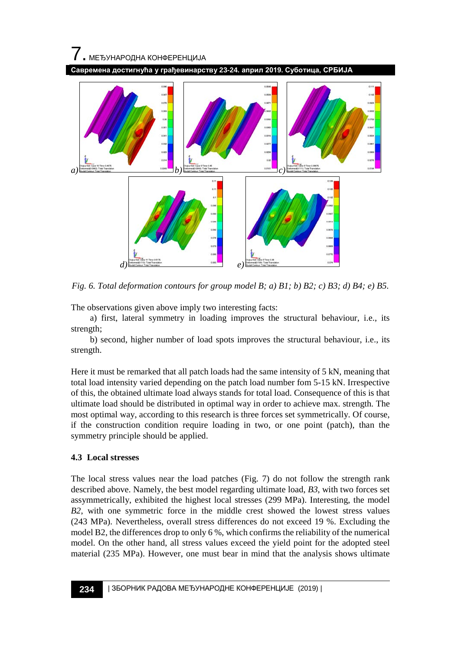

*Fig. 6. Total deformation contours for group model B; a) B1; b) B2; c) B3; d) B4; e) B5.*

The observations given above imply two interesting facts:

a) first, lateral symmetry in loading improves the structural behaviour, i.e., its strength;

b) second, higher number of load spots improves the structural behaviour, i.e., its strength.

Here it must be remarked that all patch loads had the same intensity of 5 kN, meaning that total load intensity varied depending on the patch load number fom 5-15 kN. Irrespective of this, the obtained ultimate load always stands for total load. Consequence of this is that ultimate load should be distributed in optimal way in order to achieve max. strength. The most optimal way, according to this research is three forces set symmetrically. Of course, if the construction condition require loading in two, or one point (patch), than the symmetry principle should be applied.

#### **4.3 Local stresses**

The local stress values near the load patches (Fig. 7) do not follow the strength rank described above. Namely, the best model regarding ultimate load, *B3*, with two forces set assymmetrically, exhibited the highest local stresses (299 MPa). Interesting, the model *B2*, with one symmetric force in the middle crest showed the lowest stress values (243 MPa). Nevertheless, overall stress differences do not exceed 19 %. Excluding the model B2, the differences drop to only 6 %, which confirms the reliability of the numerical model. On the other hand, all stress values exceed the yield point for the adopted steel material (235 MPa). However, one must bear in mind that the analysis shows ultimate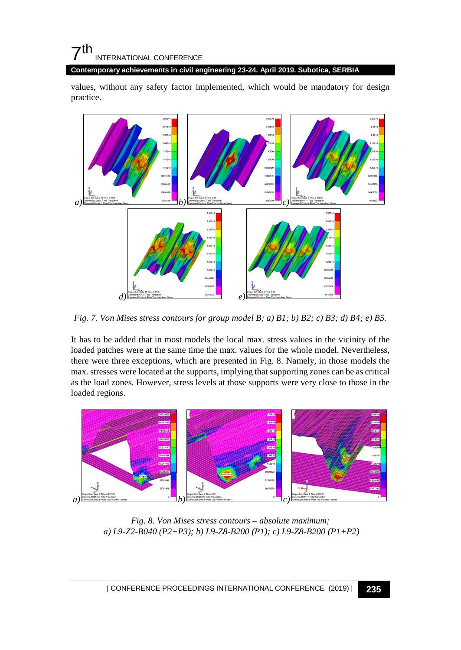## $\mathbf{7}$ th INTERNATIONAL CONFERENCE

**Contemporary achievements in civil engineering 23-24. April 2019. Subotica, SERBIA**

values, without any safety factor implemented, which would be mandatory for design practice.



*Fig. 7. Von Mises stress contours for group model B; a) B1; b) B2; c) B3; d) B4; e) B5.*

It has to be added that in most models the local max. stress values in the vicinity of the loaded patches were at the same time the max. values for the whole model. Nevertheless, there were three exceptions, which are presented in Fig. 8. Namely, in those models the max. stresses were located at the supports, implying that supporting zones can be as critical as the load zones. However, stress levels at those supports were very close to those in the loaded regions.



*Fig. 8. Von Mises stress contours – absolute maximum; a) L9-Z2-B040 (P2+P3); b) L9-Z8-B200 (P1); c) L9-Z8-B200 (P1+P2)*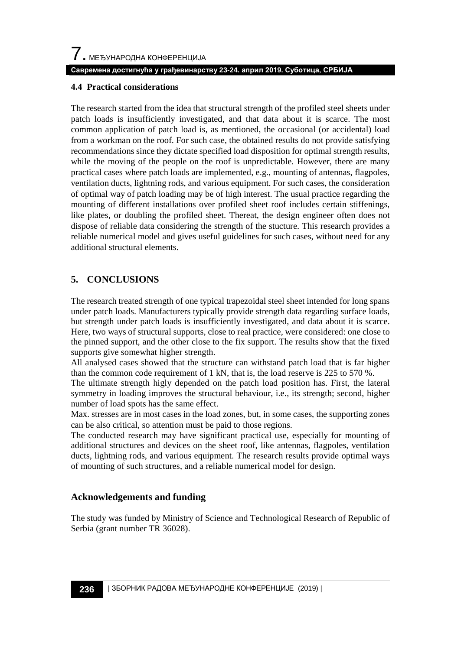#### **Савремена достигнућа у грађевинарству 23-24. април 2019. Суботица, СРБИЈА**

#### **4.4 Practical considerations**

The research started from the idea that structural strength of the profiled steel sheets under patch loads is insufficiently investigated, and that data about it is scarce. The most common application of patch load is, as mentioned, the occasional (or accidental) load from a workman on the roof. For such case, the obtained results do not provide satisfying recommendations since they dictate specified load disposition for optimal strength results, while the moving of the people on the roof is unpredictable. However, there are many practical cases where patch loads are implemented, e.g., mounting of antennas, flagpoles, ventilation ducts, lightning rods, and various equipment. For such cases, the consideration of optimal way of patch loading may be of high interest. The usual practice regarding the mounting of different installations over profiled sheet roof includes certain stiffenings, like plates, or doubling the profiled sheet. Thereat, the design engineer often does not dispose of reliable data considering the strength of the stucture. This research provides a reliable numerical model and gives useful guidelines for such cases, without need for any additional structural elements.

## **5. CONCLUSIONS**

The research treated strength of one typical trapezoidal steel sheet intended for long spans under patch loads. Manufacturers typically provide strength data regarding surface loads, but strength under patch loads is insufficiently investigated, and data about it is scarce. Here, two ways of structural supports, close to real practice, were considered: one close to the pinned support, and the other close to the fix support. The results show that the fixed supports give somewhat higher strength.

All analysed cases showed that the structure can withstand patch load that is far higher than the common code requirement of 1 kN, that is, the load reserve is 225 to 570 %.

The ultimate strength higly depended on the patch load position has. First, the lateral symmetry in loading improves the structural behaviour, i.e., its strength; second, higher number of load spots has the same effect.

Max. stresses are in most cases in the load zones, but, in some cases, the supporting zones can be also critical, so attention must be paid to those regions.

The conducted research may have significant practical use, especially for mounting of additional structures and devices on the sheet roof, like antennas, flagpoles, ventilation ducts, lightning rods, and various equipment. The research results provide optimal ways of mounting of such structures, and a reliable numerical model for design.

## **Acknowledgements and funding**

The study was funded by Ministry of Science and Technological Research of Republic of Serbia (grant number TR 36028).